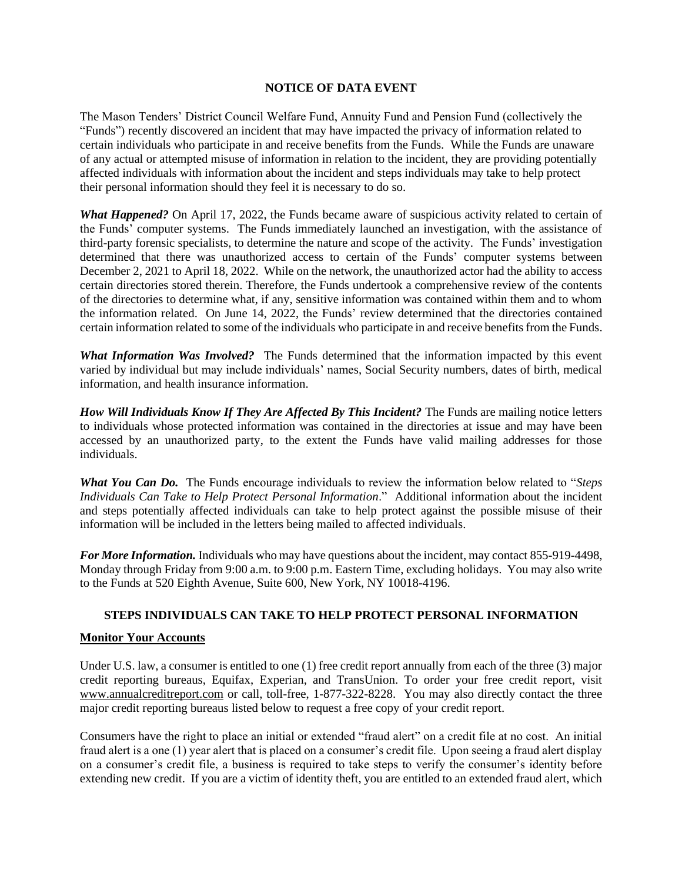## **NOTICE OF DATA EVENT**

The Mason Tenders' District Council Welfare Fund, Annuity Fund and Pension Fund (collectively the "Funds") recently discovered an incident that may have impacted the privacy of information related to certain individuals who participate in and receive benefits from the Funds. While the Funds are unaware of any actual or attempted misuse of information in relation to the incident, they are providing potentially affected individuals with information about the incident and steps individuals may take to help protect their personal information should they feel it is necessary to do so.

*What Happened?* On April 17, 2022, the Funds became aware of suspicious activity related to certain of the Funds' computer systems. The Funds immediately launched an investigation, with the assistance of third-party forensic specialists, to determine the nature and scope of the activity. The Funds' investigation determined that there was unauthorized access to certain of the Funds' computer systems between December 2, 2021 to April 18, 2022. While on the network, the unauthorized actor had the ability to access certain directories stored therein. Therefore, the Funds undertook a comprehensive review of the contents of the directories to determine what, if any, sensitive information was contained within them and to whom the information related. On June 14, 2022, the Funds' review determined that the directories contained certain information related to some of the individuals who participate in and receive benefits from the Funds.

*What Information Was Involved?* The Funds determined that the information impacted by this event varied by individual but may include individuals' names, Social Security numbers, dates of birth, medical information, and health insurance information.

*How Will Individuals Know If They Are Affected By This Incident?* The Funds are mailing notice letters to individuals whose protected information was contained in the directories at issue and may have been accessed by an unauthorized party, to the extent the Funds have valid mailing addresses for those individuals.

*What You Can Do.* The Funds encourage individuals to review the information below related to "*Steps Individuals Can Take to Help Protect Personal Information*." Additional information about the incident and steps potentially affected individuals can take to help protect against the possible misuse of their information will be included in the letters being mailed to affected individuals.

*For More Information.* Individuals who may have questions about the incident, may contact 855-919-4498, Monday through Friday from 9:00 a.m. to 9:00 p.m. Eastern Time, excluding holidays. You may also write to the Funds at 520 Eighth Avenue, Suite 600, New York, NY 10018-4196.

## **STEPS INDIVIDUALS CAN TAKE TO HELP PROTECT PERSONAL INFORMATION**

## **Monitor Your Accounts**

Under U.S. law, a consumer is entitled to one (1) free credit report annually from each of the three (3) major credit reporting bureaus, Equifax, Experian, and TransUnion. To order your free credit report, visit www.annualcreditreport.com or call, toll-free, 1-877-322-8228. You may also directly contact the three major credit reporting bureaus listed below to request a free copy of your credit report.

Consumers have the right to place an initial or extended "fraud alert" on a credit file at no cost. An initial fraud alert is a one (1) year alert that is placed on a consumer's credit file. Upon seeing a fraud alert display on a consumer's credit file, a business is required to take steps to verify the consumer's identity before extending new credit. If you are a victim of identity theft, you are entitled to an extended fraud alert, which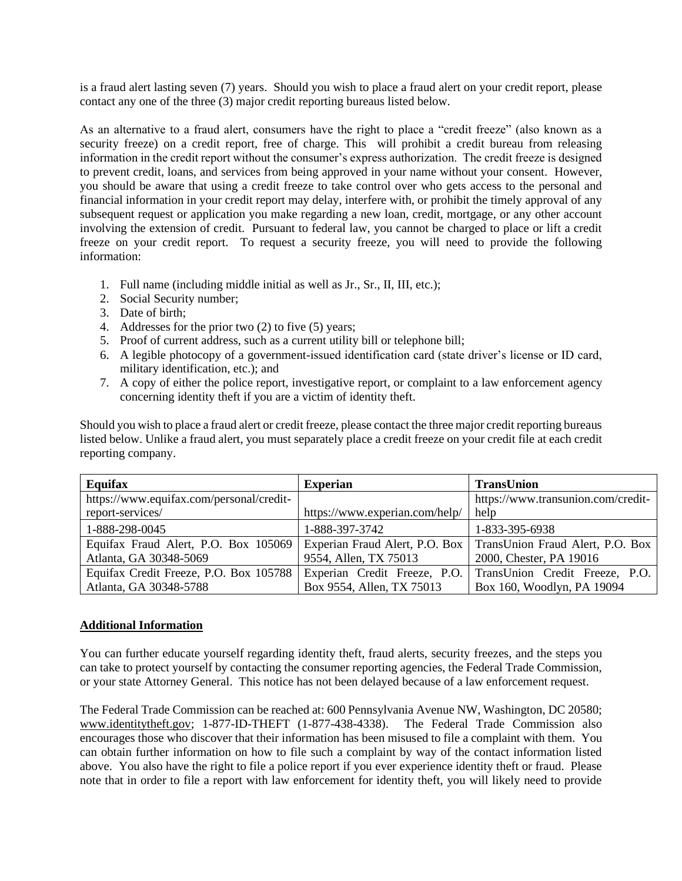is a fraud alert lasting seven (7) years. Should you wish to place a fraud alert on your credit report, please contact any one of the three (3) major credit reporting bureaus listed below.

As an alternative to a fraud alert, consumers have the right to place a "credit freeze" (also known as a security freeze) on a credit report, free of charge. This will prohibit a credit bureau from releasing information in the credit report without the consumer's express authorization. The credit freeze is designed to prevent credit, loans, and services from being approved in your name without your consent. However, you should be aware that using a credit freeze to take control over who gets access to the personal and financial information in your credit report may delay, interfere with, or prohibit the timely approval of any subsequent request or application you make regarding a new loan, credit, mortgage, or any other account involving the extension of credit. Pursuant to federal law, you cannot be charged to place or lift a credit freeze on your credit report. To request a security freeze, you will need to provide the following information:

- 1. Full name (including middle initial as well as Jr., Sr., II, III, etc.);
- 2. Social Security number;
- 3. Date of birth;
- 4. Addresses for the prior two (2) to five (5) years;
- 5. Proof of current address, such as a current utility bill or telephone bill;
- 6. A legible photocopy of a government-issued identification card (state driver's license or ID card, military identification, etc.); and
- 7. A copy of either the police report, investigative report, or complaint to a law enforcement agency concerning identity theft if you are a victim of identity theft.

Should you wish to place a fraud alert or credit freeze, please contact the three major credit reporting bureaus listed below. Unlike a fraud alert, you must separately place a credit freeze on your credit file at each credit reporting company.

| Equifax                                  | <b>Experian</b>                | <b>TransUnion</b>                  |
|------------------------------------------|--------------------------------|------------------------------------|
| https://www.equifax.com/personal/credit- |                                | https://www.transunion.com/credit- |
| report-services/                         | https://www.experian.com/help/ | help                               |
| 1-888-298-0045                           | 1-888-397-3742                 | 1-833-395-6938                     |
| Equifax Fraud Alert, P.O. Box 105069     | Experian Fraud Alert, P.O. Box | TransUnion Fraud Alert, P.O. Box   |
| Atlanta, GA 30348-5069                   | 9554, Allen, TX 75013          | 2000, Chester, PA 19016            |
| Equifax Credit Freeze, P.O. Box 105788   | Experian Credit Freeze, P.O.   | TransUnion Credit Freeze, P.O.     |
| Atlanta, GA 30348-5788                   | Box 9554, Allen, TX 75013      | Box 160, Woodlyn, PA 19094         |

## **Additional Information**

You can further educate yourself regarding identity theft, fraud alerts, security freezes, and the steps you can take to protect yourself by contacting the consumer reporting agencies, the Federal Trade Commission, or your state Attorney General.This notice has not been delayed because of a law enforcement request.

The Federal Trade Commission can be reached at: 600 Pennsylvania Avenue NW, Washington, DC 20580; www.identitytheft.gov; 1-877-ID-THEFT (1-877-438-4338). The Federal Trade Commission also encourages those who discover that their information has been misused to file a complaint with them. You can obtain further information on how to file such a complaint by way of the contact information listed above. You also have the right to file a police report if you ever experience identity theft or fraud. Please note that in order to file a report with law enforcement for identity theft, you will likely need to provide